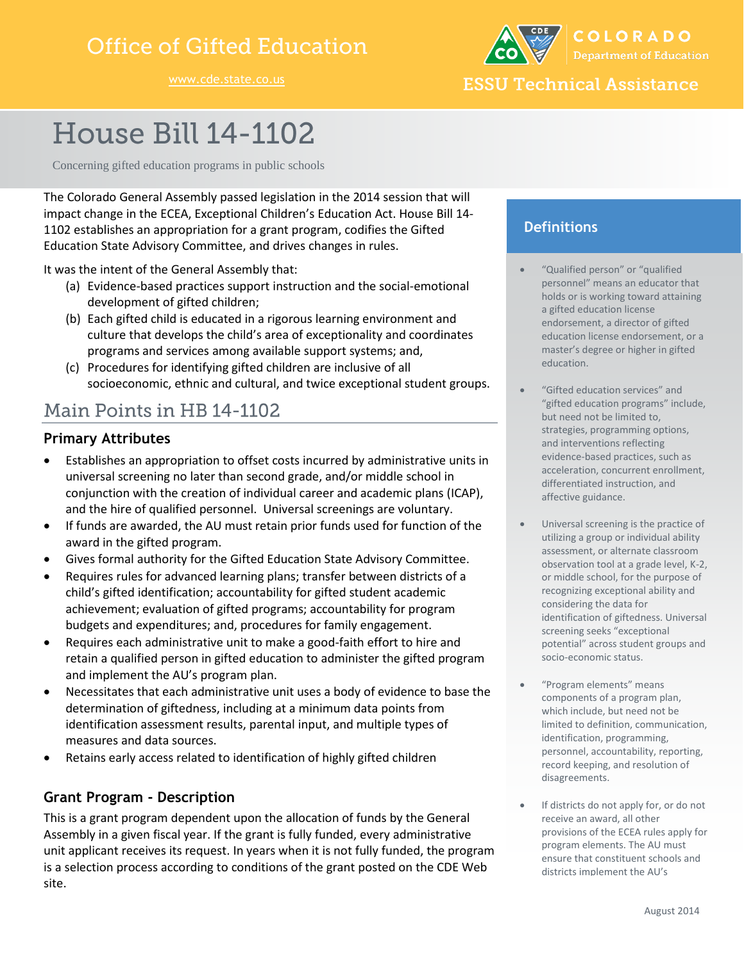## **Office of Gifted Education**

COLORADO

**ESSU Technical Assistance** 

# **House Bill 14-1102**

Concerning gifted education programs in public schools

The Colorado General Assembly passed legislation in the 2014 session that will impact change in the ECEA, Exceptional Children's Education Act. House Bill 14- 1102 establishes an appropriation for a grant program, codifies the Gifted Education State Advisory Committee, and drives changes in rules.

It was the intent of the General Assembly that:

- (a) Evidence-based practices support instruction and the social-emotional development of gifted children;
- (b) Each gifted child is educated in a rigorous learning environment and culture that develops the child's area of exceptionality and coordinates programs and services among available support systems; and,
- (c) Procedures for identifying gifted children are inclusive of all socioeconomic, ethnic and cultural, and twice exceptional student groups.

## Main Points in HB 14-1102

#### **Primary Attributes**

- Establishes an appropriation to offset costs incurred by administrative units in universal screening no later than second grade, and/or middle school in conjunction with the creation of individual career and academic plans (ICAP), and the hire of qualified personnel. Universal screenings are voluntary.
- If funds are awarded, the AU must retain prior funds used for function of the award in the gifted program.
- Gives formal authority for the Gifted Education State Advisory Committee.
- Requires rules for advanced learning plans; transfer between districts of a child's gifted identification; accountability for gifted student academic achievement; evaluation of gifted programs; accountability for program budgets and expenditures; and, procedures for family engagement.
- Requires each administrative unit to make a good-faith effort to hire and retain a qualified person in gifted education to administer the gifted program and implement the AU's program plan.
- Necessitates that each administrative unit uses a body of evidence to base the determination of giftedness, including at a minimum data points from identification assessment results, parental input, and multiple types of measures and data sources.
- Retains early access related to identification of highly gifted children

### **Grant Program - Description**

This is a grant program dependent upon the allocation of funds by the General Assembly in a given fiscal year. If the grant is fully funded, every administrative unit applicant receives its request. In years when it is not fully funded, the program is a selection process according to conditions of the grant posted on the CDE Web site.

## **Definitions**

- "Qualified person" or "qualified personnel" means an educator that holds or is working toward attaining a gifted education license endorsement, a director of gifted education license endorsement, or a master's degree or higher in gifted education.
- "Gifted education services" and "gifted education programs" include, but need not be limited to, strategies, programming options, and interventions reflecting evidence-based practices, such as acceleration, concurrent enrollment, differentiated instruction, and affective guidance.
- Universal screening is the practice of utilizing a group or individual ability assessment, or alternate classroom observation tool at a grade level, K-2, or middle school, for the purpose of recognizing exceptional ability and considering the data for identification of giftedness. Universal screening seeks "exceptional potential" across student groups and socio-economic status.
- "Program elements" means components of a program plan, which include, but need not be limited to definition, communication, identification, programming, personnel, accountability, reporting, record keeping, and resolution of disagreements.
- If districts do not apply for, or do not receive an award, all other provisions of the ECEA rules apply for program elements. The AU must ensure that constituent schools and districts implement the AU's